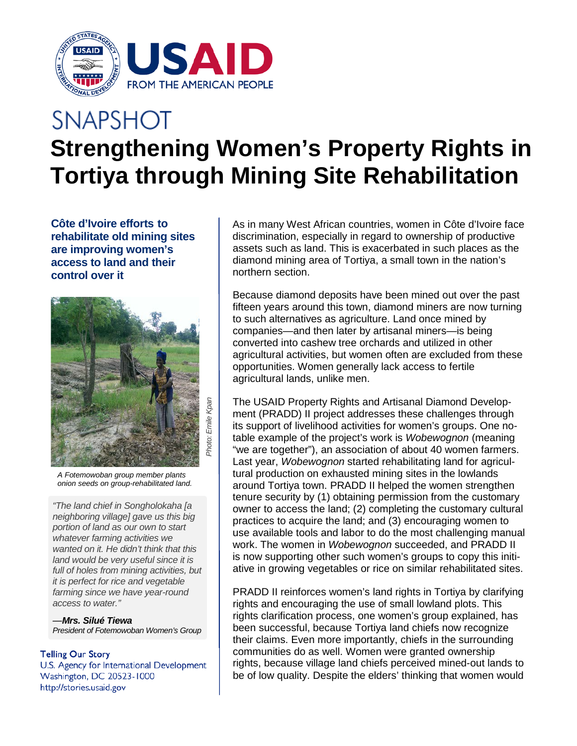

## **SNAPSHOT Strengthening Women's Property Rights in Tortiya through Mining Site Rehabilitation**

**Côte d'Ivoire efforts to rehabilitate old mining sites are improving women's access to land and their control over it**



*A Fotemowoban group member plants onion seeds on group-rehabilitated land.* 

*"The land chief in Songholokaha [a neighboring village] gave us this big portion of land as our own to start whatever farming activities we wanted on it. He didn't think that this land would be very useful since it is full of holes from mining activities, but it is perfect for rice and vegetable farming since we have year-round access to water."* 

*—Mrs. Silué Tiewa President of Fotemowoban Women's Group* 

## **Telling Our Story**

U.S. Agency for International Development Washington, DC 20523-1000 http://stories.usaid.gov

As in many West African countries, women in Côte d'Ivoire face discrimination, especially in regard to ownership of productive assets such as land. This is exacerbated in such places as the diamond mining area of Tortiya, a small town in the nation's northern section.

Because diamond deposits have been mined out over the past fifteen years around this town, diamond miners are now turning to such alternatives as agriculture. Land once mined by companies—and then later by artisanal miners—is being converted into cashew tree orchards and utilized in other agricultural activities, but women often are excluded from these opportunities. Women generally lack access to fertile agricultural lands, unlike men.

The USAID Property Rights and Artisanal Diamond Development (PRADD) II project addresses these challenges through its support of livelihood activities for women's groups. One notable example of the project's work is *Wobewognon* (meaning "we are together"), an association of about 40 women farmers. Last year, *Wobewognon* started rehabilitating land for agricultural production on exhausted mining sites in the lowlands around Tortiya town. PRADD II helped the women strengthen tenure security by (1) obtaining permission from the customary owner to access the land; (2) completing the customary cultural practices to acquire the land; and (3) encouraging women to use available tools and labor to do the most challenging manual work. The women in *Wobewognon* succeeded, and PRADD II is now supporting other such women's groups to copy this initiative in growing vegetables or rice on similar rehabilitated sites.

PRADD II reinforces women's land rights in Tortiya by clarifying rights and encouraging the use of small lowland plots. This rights clarification process, one women's group explained, has been successful, because Tortiya land chiefs now recognize their claims. Even more importantly, chiefs in the surrounding communities do as well. Women were granted ownership rights, because village land chiefs perceived mined-out lands to be of low quality. Despite the elders' thinking that women would